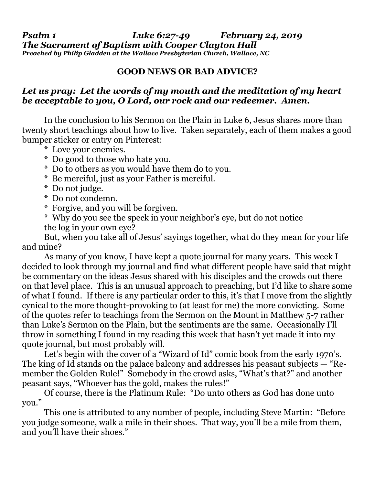*Psalm 1 Luke 6:27-49 February 24, 2019 The Sacrament of Baptism with Cooper Clayton Hall Preached by Philip Gladden at the Wallace Presbyterian Church, Wallace, NC*

## **GOOD NEWS OR BAD ADVICE?**

## *Let us pray: Let the words of my mouth and the meditation of my heart be acceptable to you, O Lord, our rock and our redeemer. Amen.*

In the conclusion to his Sermon on the Plain in Luke 6, Jesus shares more than twenty short teachings about how to live. Taken separately, each of them makes a good bumper sticker or entry on Pinterest:

- \* Love your enemies.
- \* Do good to those who hate you.
- \* Do to others as you would have them do to you.
- \* Be merciful, just as your Father is merciful.
- \* Do not judge.
- \* Do not condemn.
- \* Forgive, and you will be forgiven.
- \* Why do you see the speck in your neighbor's eye, but do not notice the log in your own eye?

But, when you take all of Jesus' sayings together, what do they mean for your life and mine?

As many of you know, I have kept a quote journal for many years. This week I decided to look through my journal and find what different people have said that might be commentary on the ideas Jesus shared with his disciples and the crowds out there on that level place. This is an unusual approach to preaching, but I'd like to share some of what I found. If there is any particular order to this, it's that I move from the slightly cynical to the more thought-provoking to (at least for me) the more convicting. Some of the quotes refer to teachings from the Sermon on the Mount in Matthew 5-7 rather than Luke's Sermon on the Plain, but the sentiments are the same. Occasionally I'll throw in something I found in my reading this week that hasn't yet made it into my quote journal, but most probably will.

Let's begin with the cover of a "Wizard of Id" comic book from the early 1970's. The king of Id stands on the palace balcony and addresses his peasant subjects — "Remember the Golden Rule!" Somebody in the crowd asks, "What's that?" and another peasant says, "Whoever has the gold, makes the rules!"

Of course, there is the Platinum Rule: "Do unto others as God has done unto you."

This one is attributed to any number of people, including Steve Martin: "Before you judge someone, walk a mile in their shoes. That way, you'll be a mile from them, and you'll have their shoes."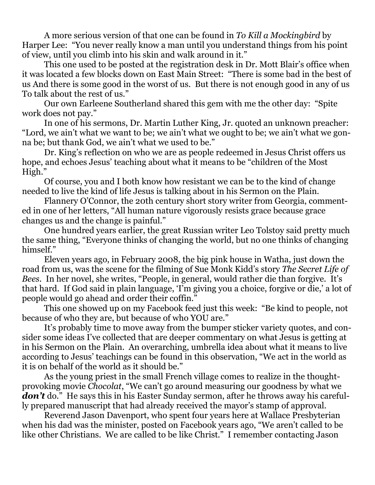A more serious version of that one can be found in *To Kill a Mockingbird* by Harper Lee: "You never really know a man until you understand things from his point of view, until you climb into his skin and walk around in it."

This one used to be posted at the registration desk in Dr. Mott Blair's office when it was located a few blocks down on East Main Street: "There is some bad in the best of us And there is some good in the worst of us. But there is not enough good in any of us To talk about the rest of us."

Our own Earleene Southerland shared this gem with me the other day: "Spite work does not pay."

In one of his sermons, Dr. Martin Luther King, Jr. quoted an unknown preacher: "Lord, we ain't what we want to be; we ain't what we ought to be; we ain't what we gonna be; but thank God, we ain't what we used to be."

Dr. King's reflection on who we are as people redeemed in Jesus Christ offers us hope, and echoes Jesus' teaching about what it means to be "children of the Most High."

Of course, you and I both know how resistant we can be to the kind of change needed to live the kind of life Jesus is talking about in his Sermon on the Plain.

Flannery O'Connor, the 20th century short story writer from Georgia, commented in one of her letters, "All human nature vigorously resists grace because grace changes us and the change is painful."

One hundred years earlier, the great Russian writer Leo Tolstoy said pretty much the same thing, "Everyone thinks of changing the world, but no one thinks of changing himself."

Eleven years ago, in February 2008, the big pink house in Watha, just down the road from us, was the scene for the filming of Sue Monk Kidd's story *The Secret Life of Bees*. In her novel, she writes, "People, in general, would rather die than forgive. It's that hard. If God said in plain language, 'I'm giving you a choice, forgive or die,' a lot of people would go ahead and order their coffin."

This one showed up on my Facebook feed just this week: "Be kind to people, not because of who they are, but because of who YOU are."

It's probably time to move away from the bumper sticker variety quotes, and consider some ideas I've collected that are deeper commentary on what Jesus is getting at in his Sermon on the Plain. An overarching, umbrella idea about what it means to live according to Jesus' teachings can be found in this observation, "We act in the world as it is on behalf of the world as it should be."

As the young priest in the small French village comes to realize in the thoughtprovoking movie *Chocolat*, "We can't go around measuring our goodness by what we **don't** do." He says this in his Easter Sunday sermon, after he throws away his carefully prepared manuscript that had already received the mayor's stamp of approval.

Reverend Jason Davenport, who spent four years here at Wallace Presbyterian when his dad was the minister, posted on Facebook years ago, "We aren't called to be like other Christians. We are called to be like Christ." I remember contacting Jason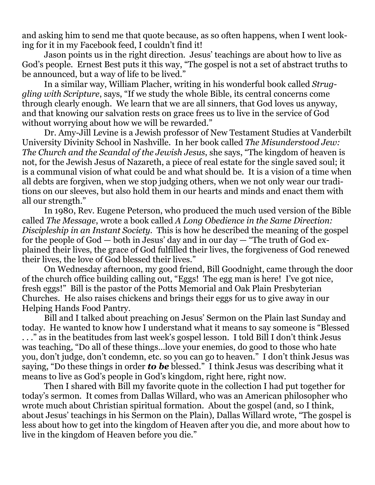and asking him to send me that quote because, as so often happens, when I went looking for it in my Facebook feed, I couldn't find it!

Jason points us in the right direction. Jesus' teachings are about how to live as God's people. Ernest Best puts it this way, "The gospel is not a set of abstract truths to be announced, but a way of life to be lived."

In a similar way, William Placher, writing in his wonderful book called *Struggling with Scripture*, says, "If we study the whole Bible, its central concerns come through clearly enough. We learn that we are all sinners, that God loves us anyway, and that knowing our salvation rests on grace frees us to live in the service of God without worrying about how we will be rewarded."

Dr. Amy-Jill Levine is a Jewish professor of New Testament Studies at Vanderbilt University Divinity School in Nashville. In her book called *The Misunderstood Jew: The Church and the Scandal of the Jewish Jesus*, she says, "The kingdom of heaven is not, for the Jewish Jesus of Nazareth, a piece of real estate for the single saved soul; it is a communal vision of what could be and what should be. It is a vision of a time when all debts are forgiven, when we stop judging others, when we not only wear our traditions on our sleeves, but also hold them in our hearts and minds and enact them with all our strength."

In 1980, Rev. Eugene Peterson, who produced the much used version of the Bible called *The Message*, wrote a book called *A Long Obedience in the Same Direction: Discipleship in an Instant Society.* This is how he described the meaning of the gospel for the people of God — both in Jesus' day and in our day — "The truth of God explained their lives, the grace of God fulfilled their lives, the forgiveness of God renewed their lives, the love of God blessed their lives."

On Wednesday afternoon, my good friend, Bill Goodnight, came through the door of the church office building calling out, "Eggs! The egg man is here! I've got nice, fresh eggs!" Bill is the pastor of the Potts Memorial and Oak Plain Presbyterian Churches. He also raises chickens and brings their eggs for us to give away in our Helping Hands Food Pantry.

Bill and I talked about preaching on Jesus' Sermon on the Plain last Sunday and today. He wanted to know how I understand what it means to say someone is "Blessed . . ." as in the beatitudes from last week's gospel lesson. I told Bill I don't think Jesus was teaching, "Do all of these things…love your enemies, do good to those who hate you, don't judge, don't condemn, etc. so you can go to heaven." I don't think Jesus was saying, "Do these things in order *to be* blessed." I think Jesus was describing what it means to live as God's people in God's kingdom, right here, right now.

Then I shared with Bill my favorite quote in the collection I had put together for today's sermon. It comes from Dallas Willard, who was an American philosopher who wrote much about Christian spiritual formation. About the gospel (and, so I think, about Jesus' teachings in his Sermon on the Plain), Dallas Willard wrote, "The gospel is less about how to get into the kingdom of Heaven after you die, and more about how to live in the kingdom of Heaven before you die."